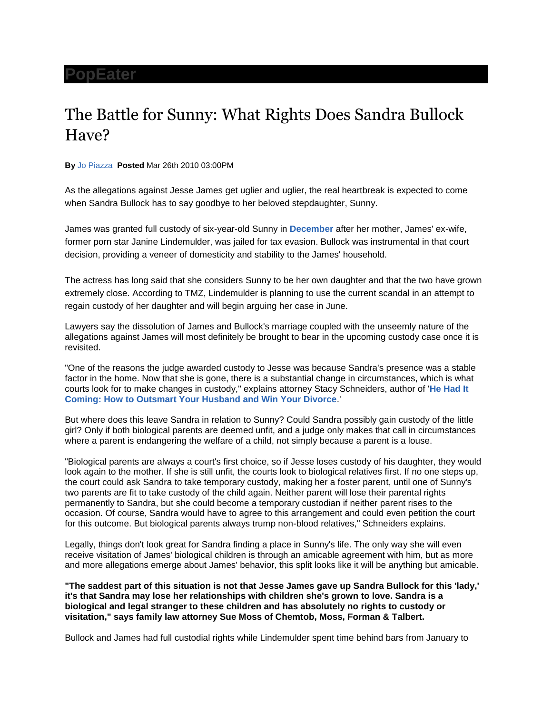## **[PopEater](http://www.popeater.com/)**

## The Battle for Sunny: What Rights Does Sandra Bullock Have?

**By** [Jo Piazza](http://www.popeater.com/bloggers/jo-piazza/) **Posted** Mar 26th 2010 03:00PM

As the allegations against Jesse James get uglier and uglier, the real heartbreak is expected to come when Sandra Bullock has to say goodbye to her beloved stepdaughter, Sunny.

James was granted full custody of six-year-old Sunny in **[December](http://www.cbsnews.com/8301-504083_162-5936756-504083.html)** after her mother, James' ex-wife, former porn star Janine Lindemulder, was jailed for tax evasion. Bullock was instrumental in that court decision, providing a veneer of domesticity and stability to the James' household.

The actress has long said that she considers Sunny to be her own daughter and that the two have grown extremely close. According to TMZ, Lindemulder is planning to use the current scandal in an attempt to regain custody of her daughter and will begin arguing her case in June.

Lawyers say the dissolution of James and Bullock's marriage coupled with the unseemly nature of the allegations against James will most definitely be brought to bear in the upcoming custody case once it is revisited.

"One of the reasons the judge awarded custody to Jesse was because Sandra's presence was a stable factor in the home. Now that she is gone, there is a substantial change in circumstances, which is what courts look for to make changes in custody," explains attorney Stacy Schneiders, author of '**[He Had It](http://www.hehaditcomingbook.com/)  [Coming: How to Outsmart Your Husband and Win Your Divorce](http://www.hehaditcomingbook.com/)**.'

But where does this leave Sandra in relation to Sunny? Could Sandra possibly gain custody of the little girl? Only if both biological parents are deemed unfit, and a judge only makes that call in circumstances where a parent is endangering the welfare of a child, not simply because a parent is a louse.

"Biological parents are always a court's first choice, so if Jesse loses custody of his daughter, they would look again to the mother. If she is still unfit, the courts look to biological relatives first. If no one steps up, the court could ask Sandra to take temporary custody, making her a foster parent, until one of Sunny's two parents are fit to take custody of the child again. Neither parent will lose their parental rights permanently to Sandra, but she could become a temporary custodian if neither parent rises to the occasion. Of course, Sandra would have to agree to this arrangement and could even petition the court for this outcome. But biological parents always trump non-blood relatives," Schneiders explains.

Legally, things don't look great for Sandra finding a place in Sunny's life. The only way she will even receive visitation of James' biological children is through an amicable agreement with him, but as more and more allegations emerge about James' behavior, this split looks like it will be anything but amicable.

**"The saddest part of this situation is not that Jesse James gave up Sandra Bullock for this 'lady,' it's that Sandra may lose her relationships with children she's grown to love. Sandra is a biological and legal stranger to these children and has absolutely no rights to custody or visitation," says family law attorney Sue Moss of Chemtob, Moss, Forman & Talbert.**

Bullock and James had full custodial rights while Lindemulder spent time behind bars from January to